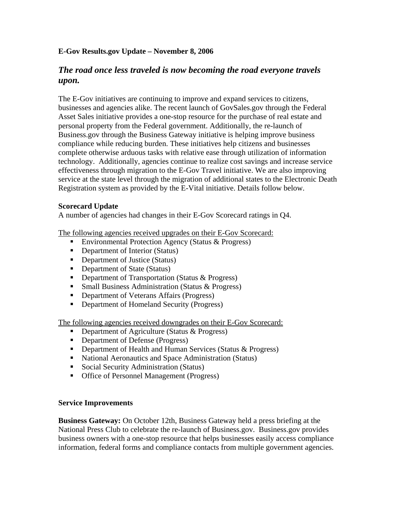## **E-Gov Results.gov Update – November 8, 2006**

# *The road once less traveled is now becoming the road everyone travels upon.*

The E-Gov initiatives are continuing to improve and expand services to citizens, businesses and agencies alike. The recent launch of GovSales.gov through the Federal Asset Sales initiative provides a one-stop resource for the purchase of real estate and personal property from the Federal government. Additionally, the re-launch of Business.gov through the Business Gateway initiative is helping improve business compliance while reducing burden. These initiatives help citizens and businesses complete otherwise arduous tasks with relative ease through utilization of information technology. Additionally, agencies continue to realize cost savings and increase service effectiveness through migration to the E-Gov Travel initiative. We are also improving service at the state level through the migration of additional states to the Electronic Death Registration system as provided by the E-Vital initiative. Details follow below.

#### **Scorecard Update**

A number of agencies had changes in their E-Gov Scorecard ratings in Q4.

The following agencies received upgrades on their E-Gov Scorecard:

- Environmental Protection Agency (Status & Progress)
- Department of Interior (Status)
- Department of Justice (Status)
- Department of State (Status)
- **•** Department of Transportation (Status & Progress)
- **Small Business Administration (Status & Progress)**
- **•** Department of Veterans Affairs (Progress)
- Department of Homeland Security (Progress)

The following agencies received downgrades on their E-Gov Scorecard:

- **•** Department of Agriculture (Status & Progress)
- Department of Defense (Progress)
- Department of Health and Human Services (Status & Progress)
- National Aeronautics and Space Administration (Status)
- Social Security Administration (Status)
- Office of Personnel Management (Progress)

### **Service Improvements**

**Business Gateway:** On October 12th, Business Gateway held a press briefing at the National Press Club to celebrate the re-launch of Business.gov. Business.gov provides business owners with a one-stop resource that helps businesses easily access compliance information, federal forms and compliance contacts from multiple government agencies.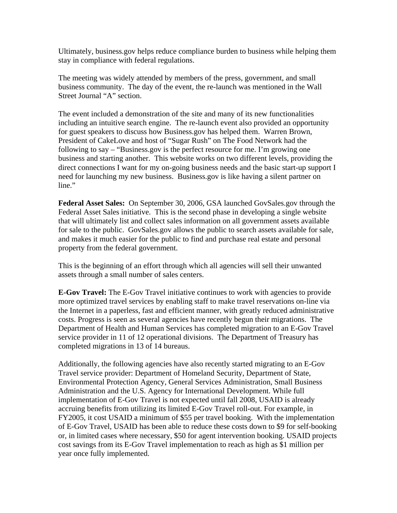Ultimately, business.gov helps reduce compliance burden to business while helping them stay in compliance with federal regulations.

The meeting was widely attended by members of the press, government, and small business community. The day of the event, the re-launch was mentioned in the Wall Street Journal "A" section.

The event included a demonstration of the site and many of its new functionalities including an intuitive search engine. The re-launch event also provided an opportunity for guest speakers to discuss how Business.gov has helped them. Warren Brown, President of CakeLove and host of "Sugar Rush" on The Food Network had the following to say – "Business.gov is the perfect resource for me. I'm growing one business and starting another. This website works on two different levels, providing the direct connections I want for my on-going business needs and the basic start-up support I need for launching my new business. Business.gov is like having a silent partner on line."

**Federal Asset Sales:** On September 30, 2006, GSA launched GovSales.gov through the Federal Asset Sales initiative. This is the second phase in developing a single website that will ultimately list and collect sales information on all government assets available for sale to the public. GovSales.gov allows the public to search assets available for sale, and makes it much easier for the public to find and purchase real estate and personal property from the federal government.

This is the beginning of an effort through which all agencies will sell their unwanted assets through a small number of sales centers.

**E-Gov Travel:** The E-Gov Travel initiative continues to work with agencies to provide more optimized travel services by enabling staff to make travel reservations on-line via the Internet in a paperless, fast and efficient manner, with greatly reduced administrative costs. Progress is seen as several agencies have recently begun their migrations. The Department of Health and Human Services has completed migration to an E-Gov Travel service provider in 11 of 12 operational divisions. The Department of Treasury has completed migrations in 13 of 14 bureaus.

Additionally, the following agencies have also recently started migrating to an E-Gov Travel service provider: Department of Homeland Security, Department of State, Environmental Protection Agency, General Services Administration, Small Business Administration and the U.S. Agency for International Development. While full implementation of E-Gov Travel is not expected until fall 2008, USAID is already accruing benefits from utilizing its limited E-Gov Travel roll-out. For example, in FY2005, it cost USAID a minimum of \$55 per travel booking. With the implementation of E-Gov Travel, USAID has been able to reduce these costs down to \$9 for self-booking or, in limited cases where necessary, \$50 for agent intervention booking. USAID projects cost savings from its E-Gov Travel implementation to reach as high as \$1 million per year once fully implemented.